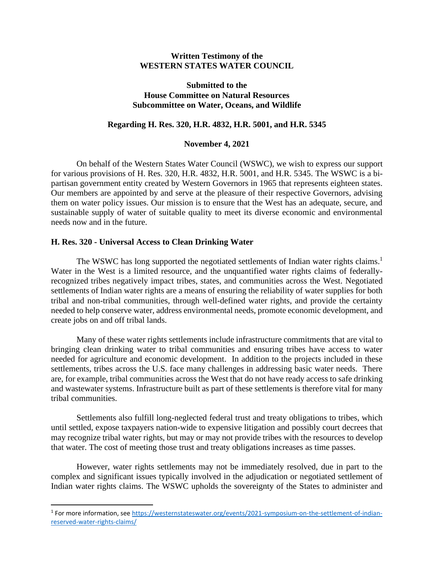#### **Written Testimony of the WESTERN STATES WATER COUNCIL**

## **Submitted to the House Committee on Natural Resources Subcommittee on Water, Oceans, and Wildlife**

#### **Regarding H. Res. 320, H.R. 4832, H.R. 5001, and H.R. 5345**

#### **November 4, 2021**

On behalf of the Western States Water Council (WSWC), we wish to express our support for various provisions of H. Res. 320, H.R. 4832, H.R. 5001, and H.R. 5345. The WSWC is a bipartisan government entity created by Western Governors in 1965 that represents eighteen states. Our members are appointed by and serve at the pleasure of their respective Governors, advising them on water policy issues. Our mission is to ensure that the West has an adequate, secure, and sustainable supply of water of suitable quality to meet its diverse economic and environmental needs now and in the future.

## **H. Res. 320 - Universal Access to Clean Drinking Water**

The WSWC has long supported the negotiated settlements of Indian water rights claims.<sup>1</sup> Water in the West is a limited resource, and the unquantified water rights claims of federallyrecognized tribes negatively impact tribes, states, and communities across the West. Negotiated settlements of Indian water rights are a means of ensuring the reliability of water supplies for both tribal and non-tribal communities, through well-defined water rights, and provide the certainty needed to help conserve water, address environmental needs, promote economic development, and create jobs on and off tribal lands.

Many of these water rights settlements include infrastructure commitments that are vital to bringing clean drinking water to tribal communities and ensuring tribes have access to water needed for agriculture and economic development. In addition to the projects included in these settlements, tribes across the U.S. face many challenges in addressing basic water needs. There are, for example, tribal communities across the West that do not have ready access to safe drinking and wastewater systems. Infrastructure built as part of these settlements is therefore vital for many tribal communities.

Settlements also fulfill long-neglected federal trust and treaty obligations to tribes, which until settled, expose taxpayers nation-wide to expensive litigation and possibly court decrees that may recognize tribal water rights, but may or may not provide tribes with the resources to develop that water. The cost of meeting those trust and treaty obligations increases as time passes.

However, water rights settlements may not be immediately resolved, due in part to the complex and significant issues typically involved in the adjudication or negotiated settlement of Indian water rights claims. The WSWC upholds the sovereignty of the States to administer and

<sup>&</sup>lt;sup>1</sup> For more information, see [https://westernstateswater.org/events/2021-symposium-on-the-settlement-of-indian](https://westernstateswater.org/events/2021-symposium-on-the-settlement-of-indian-reserved-water-rights-claims/)[reserved-water-rights-claims/](https://westernstateswater.org/events/2021-symposium-on-the-settlement-of-indian-reserved-water-rights-claims/)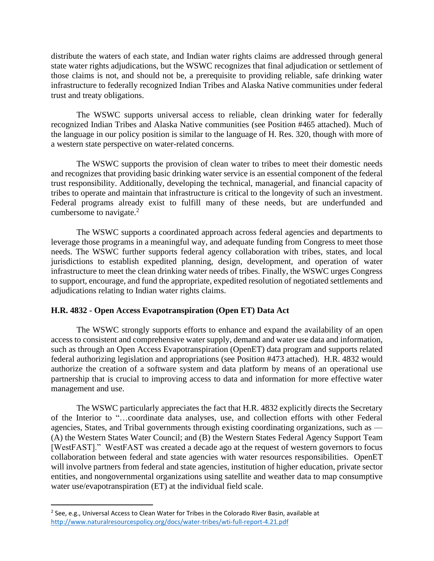distribute the waters of each state, and Indian water rights claims are addressed through general state water rights adjudications, but the WSWC recognizes that final adjudication or settlement of those claims is not, and should not be, a prerequisite to providing reliable, safe drinking water infrastructure to federally recognized Indian Tribes and Alaska Native communities under federal trust and treaty obligations.

The WSWC supports universal access to reliable, clean drinking water for federally recognized Indian Tribes and Alaska Native communities (see Position #465 attached). Much of the language in our policy position is similar to the language of H. Res. 320, though with more of a western state perspective on water-related concerns.

The WSWC supports the provision of clean water to tribes to meet their domestic needs and recognizes that providing basic drinking water service is an essential component of the federal trust responsibility. Additionally, developing the technical, managerial, and financial capacity of tribes to operate and maintain that infrastructure is critical to the longevity of such an investment. Federal programs already exist to fulfill many of these needs, but are underfunded and cumbersome to navigate. $2$ 

The WSWC supports a coordinated approach across federal agencies and departments to leverage those programs in a meaningful way, and adequate funding from Congress to meet those needs. The WSWC further supports federal agency collaboration with tribes, states, and local jurisdictions to establish expedited planning, design, development, and operation of water infrastructure to meet the clean drinking water needs of tribes. Finally, the WSWC urges Congress to support, encourage, and fund the appropriate, expedited resolution of negotiated settlements and adjudications relating to Indian water rights claims.

# **H.R. 4832 - Open Access Evapotranspiration (Open ET) Data Act**

The WSWC strongly supports efforts to enhance and expand the availability of an open access to consistent and comprehensive water supply, demand and water use data and information, such as through an Open Access Evapotranspiration (OpenET) data program and supports related federal authorizing legislation and appropriations (see Position #473 attached). H.R. 4832 would authorize the creation of a software system and data platform by means of an operational use partnership that is crucial to improving access to data and information for more effective water management and use.

The WSWC particularly appreciates the fact that H.R. 4832 explicitly directs the Secretary of the Interior to "…coordinate data analyses, use, and collection efforts with other Federal agencies, States, and Tribal governments through existing coordinating organizations, such as — (A) the Western States Water Council; and (B) the Western States Federal Agency Support Team [WestFAST]." WestFAST was created a decade ago at the request of western governors to focus collaboration between federal and state agencies with water resources responsibilities. OpenET will involve partners from federal and state agencies, institution of higher education, private sector entities, and nongovernmental organizations using satellite and weather data to map consumptive water use/evapotranspiration (ET) at the individual field scale.

 $^2$  See, e.g., Universal Access to Clean Water for Tribes in the Colorado River Basin, available at <http://www.naturalresourcespolicy.org/docs/water-tribes/wti-full-report-4.21.pdf>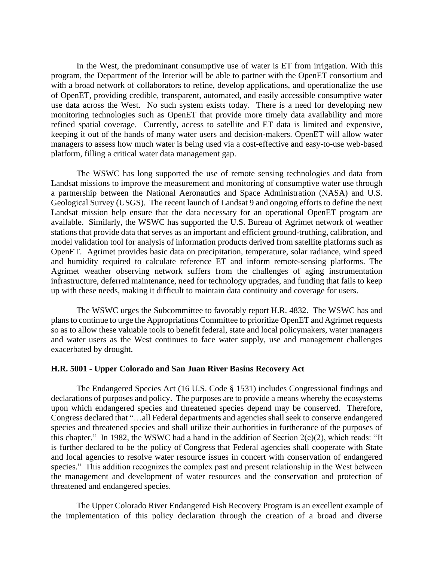In the West, the predominant consumptive use of water is ET from irrigation. With this program, the Department of the Interior will be able to partner with the OpenET consortium and with a broad network of collaborators to refine, develop applications, and operationalize the use of OpenET, providing credible, transparent, automated, and easily accessible consumptive water use data across the West. No such system exists today. There is a need for developing new monitoring technologies such as OpenET that provide more timely data availability and more refined spatial coverage. Currently, access to satellite and ET data is limited and expensive, keeping it out of the hands of many water users and decision-makers. OpenET will allow water managers to assess how much water is being used via a cost-effective and easy-to-use web-based platform, filling a critical water data management gap.

The WSWC has long supported the use of remote sensing technologies and data from Landsat missions to improve the measurement and monitoring of consumptive water use through a partnership between the National Aeronautics and Space Administration (NASA) and U.S. Geological Survey (USGS). The recent launch of Landsat 9 and ongoing efforts to define the next Landsat mission help ensure that the data necessary for an operational OpenET program are available. Similarly, the WSWC has supported the U.S. Bureau of Agrimet network of weather stations that provide data that serves as an important and efficient ground-truthing, calibration, and model validation tool for analysis of information products derived from satellite platforms such as OpenET. Agrimet provides basic data on precipitation, temperature, solar radiance, wind speed and humidity required to calculate reference ET and inform remote-sensing platforms. The Agrimet weather observing network suffers from the challenges of aging instrumentation infrastructure, deferred maintenance, need for technology upgrades, and funding that fails to keep up with these needs, making it difficult to maintain data continuity and coverage for users.

The WSWC urges the Subcommittee to favorably report H.R. 4832. The WSWC has and plans to continue to urge the Appropriations Committee to prioritize OpenET and Agrimet requests so as to allow these valuable tools to benefit federal, state and local policymakers, water managers and water users as the West continues to face water supply, use and management challenges exacerbated by drought.

#### **H.R. 5001 - Upper Colorado and San Juan River Basins Recovery Act**

The Endangered Species Act (16 U.S. Code § 1531) includes Congressional findings and declarations of purposes and policy. The purposes are to provide a means whereby the ecosystems upon which endangered species and threatened species depend may be conserved. Therefore, Congress declared that "…all Federal departments and agencies shall seek to conserve endangered species and threatened species and shall utilize their authorities in furtherance of the purposes of this chapter." In 1982, the WSWC had a hand in the addition of Section  $2(c)(2)$ , which reads: "It is further declared to be the policy of Congress that Federal agencies shall cooperate with State and local agencies to resolve water resource issues in concert with conservation of endangered species." This addition recognizes the complex past and present relationship in the West between the management and development of water resources and the conservation and protection of threatened and endangered species.

The Upper Colorado River Endangered Fish Recovery Program is an excellent example of the implementation of this policy declaration through the creation of a broad and diverse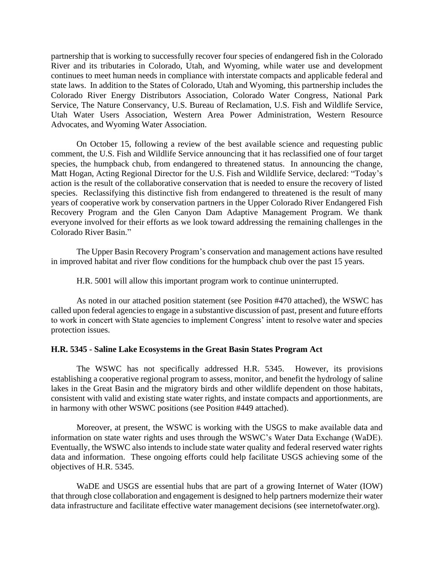partnership that is working to successfully recover four species of endangered fish in the Colorado River and its tributaries in Colorado, Utah, and Wyoming, while water use and development continues to meet human needs in compliance with interstate compacts and applicable federal and state laws. In addition to the States of Colorado, Utah and Wyoming, this partnership includes the Colorado River Energy Distributors Association, Colorado Water Congress, National Park Service, The Nature Conservancy, U.S. Bureau of Reclamation, U.S. Fish and Wildlife Service, Utah Water Users Association, Western Area Power Administration, Western Resource Advocates, and Wyoming Water Association.

On October 15, following a review of the best available science and requesting public comment, the U.S. Fish and Wildlife Service announcing that it has reclassified one of four target species, the humpback chub, from endangered to threatened status. In announcing the change, Matt Hogan, Acting Regional Director for the U.S. Fish and Wildlife Service, declared: "Today's action is the result of the collaborative conservation that is needed to ensure the recovery of listed species. Reclassifying this distinctive fish from endangered to threatened is the result of many years of cooperative work by conservation partners in the Upper Colorado River Endangered Fish Recovery Program and the Glen Canyon Dam Adaptive Management Program. We thank everyone involved for their efforts as we look toward addressing the remaining challenges in the Colorado River Basin."

The Upper Basin Recovery Program's conservation and management actions have resulted in improved habitat and river flow conditions for the humpback chub over the past 15 years.

H.R. 5001 will allow this important program work to continue uninterrupted.

As noted in our attached position statement (see Position #470 attached), the WSWC has called upon federal agencies to engage in a substantive discussion of past, present and future efforts to work in concert with State agencies to implement Congress' intent to resolve water and species protection issues.

#### **H.R. 5345 - Saline Lake Ecosystems in the Great Basin States Program Act**

The WSWC has not specifically addressed H.R. 5345. However, its provisions establishing a cooperative regional program to assess, monitor, and benefit the hydrology of saline lakes in the Great Basin and the migratory birds and other wildlife dependent on those habitats, consistent with valid and existing state water rights, and instate compacts and apportionments, are in harmony with other WSWC positions (see Position #449 attached).

Moreover, at present, the WSWC is working with the USGS to make available data and information on state water rights and uses through the WSWC's Water Data Exchange (WaDE). Eventually, the WSWC also intends to include state water quality and federal reserved water rights data and information. These ongoing efforts could help facilitate USGS achieving some of the objectives of H.R. 5345.

WaDE and USGS are essential hubs that are part of a growing Internet of Water (IOW) that through close collaboration and engagement is designed to help partners modernize their water data infrastructure and facilitate effective water management decisions (see internetofwater.org).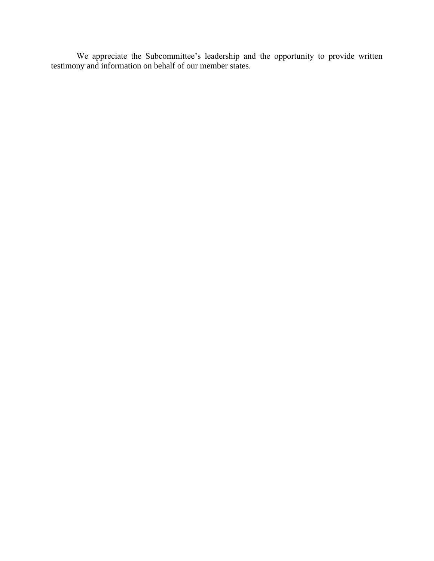We appreciate the Subcommittee's leadership and the opportunity to provide written testimony and information on behalf of our member states.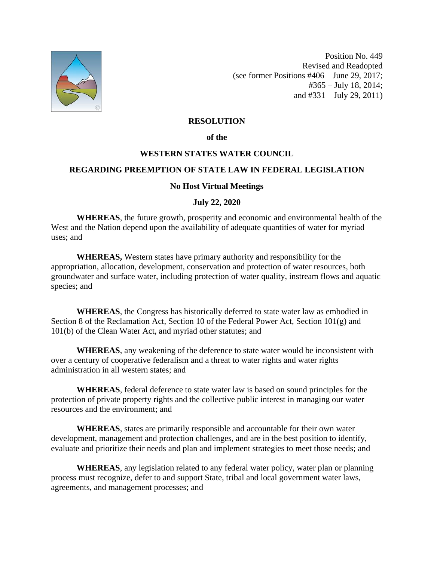

Position No. 449 Revised and Readopted (see former Positions #406 – June 29, 2017; #365 – July 18, 2014; and #331 – July 29, 2011)

# **RESOLUTION**

#### **of the**

# **WESTERN STATES WATER COUNCIL**

## **REGARDING PREEMPTION OF STATE LAW IN FEDERAL LEGISLATION**

# **No Host Virtual Meetings**

# **July 22, 2020**

**WHEREAS**, the future growth, prosperity and economic and environmental health of the West and the Nation depend upon the availability of adequate quantities of water for myriad uses; and

**WHEREAS,** Western states have primary authority and responsibility for the appropriation, allocation, development, conservation and protection of water resources, both groundwater and surface water, including protection of water quality, instream flows and aquatic species; and

**WHEREAS**, the Congress has historically deferred to state water law as embodied in Section 8 of the Reclamation Act, Section 10 of the Federal Power Act, Section 101(g) and 101(b) of the Clean Water Act, and myriad other statutes; and

**WHEREAS**, any weakening of the deference to state water would be inconsistent with over a century of cooperative federalism and a threat to water rights and water rights administration in all western states; and

**WHEREAS**, federal deference to state water law is based on sound principles for the protection of private property rights and the collective public interest in managing our water resources and the environment; and

**WHEREAS**, states are primarily responsible and accountable for their own water development, management and protection challenges, and are in the best position to identify, evaluate and prioritize their needs and plan and implement strategies to meet those needs; and

**WHEREAS**, any legislation related to any federal water policy, water plan or planning process must recognize, defer to and support State, tribal and local government water laws, agreements, and management processes; and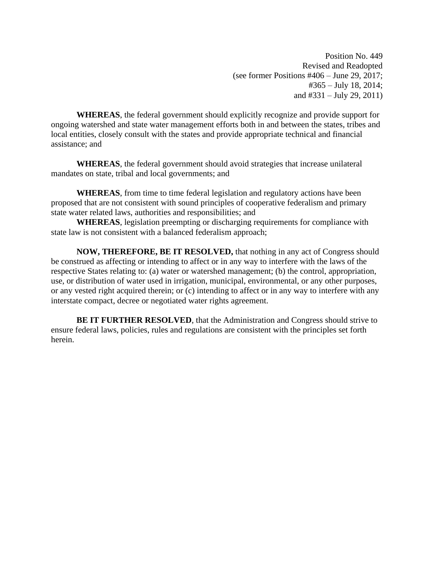Position No. 449 Revised and Readopted (see former Positions #406 – June 29, 2017; #365 – July 18, 2014; and  $\#331 - \text{July }29, 2011$ 

**WHEREAS**, the federal government should explicitly recognize and provide support for ongoing watershed and state water management efforts both in and between the states, tribes and local entities, closely consult with the states and provide appropriate technical and financial assistance; and

**WHEREAS**, the federal government should avoid strategies that increase unilateral mandates on state, tribal and local governments; and

**WHEREAS**, from time to time federal legislation and regulatory actions have been proposed that are not consistent with sound principles of cooperative federalism and primary state water related laws, authorities and responsibilities; and

**WHEREAS**, legislation preempting or discharging requirements for compliance with state law is not consistent with a balanced federalism approach;

**NOW, THEREFORE, BE IT RESOLVED,** that nothing in any act of Congress should be construed as affecting or intending to affect or in any way to interfere with the laws of the respective States relating to: (a) water or watershed management; (b) the control, appropriation, use, or distribution of water used in irrigation, municipal, environmental, or any other purposes, or any vested right acquired therein; or (c) intending to affect or in any way to interfere with any interstate compact, decree or negotiated water rights agreement.

**BE IT FURTHER RESOLVED**, that the Administration and Congress should strive to ensure federal laws, policies, rules and regulations are consistent with the principles set forth herein.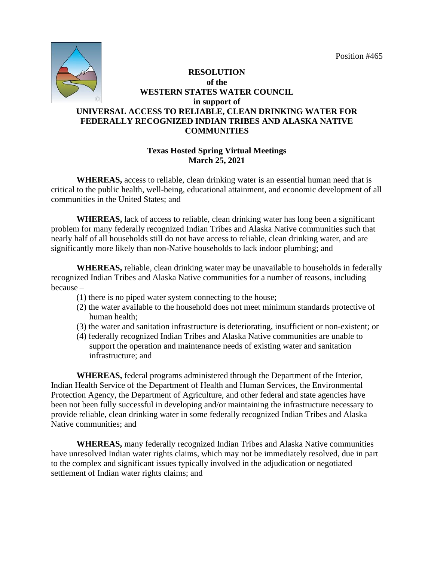

# **RESOLUTION of the WESTERN STATES WATER COUNCIL in support of UNIVERSAL ACCESS TO RELIABLE, CLEAN DRINKING WATER FOR FEDERALLY RECOGNIZED INDIAN TRIBES AND ALASKA NATIVE COMMUNITIES**

# **Texas Hosted Spring Virtual Meetings March 25, 2021**

**WHEREAS,** access to reliable, clean drinking water is an essential human need that is critical to the public health, well-being, educational attainment, and economic development of all communities in the United States; and

**WHEREAS,** lack of access to reliable, clean drinking water has long been a significant problem for many federally recognized Indian Tribes and Alaska Native communities such that nearly half of all households still do not have access to reliable, clean drinking water, and are significantly more likely than non-Native households to lack indoor plumbing; and

**WHEREAS,** reliable, clean drinking water may be unavailable to households in federally recognized Indian Tribes and Alaska Native communities for a number of reasons, including because –

- (1) there is no piped water system connecting to the house;
- (2) the water available to the household does not meet minimum standards protective of human health;
- (3) the water and sanitation infrastructure is deteriorating, insufficient or non-existent; or
- (4) federally recognized Indian Tribes and Alaska Native communities are unable to support the operation and maintenance needs of existing water and sanitation infrastructure; and

**WHEREAS,** federal programs administered through the Department of the Interior, Indian Health Service of the Department of Health and Human Services, the Environmental Protection Agency, the Department of Agriculture, and other federal and state agencies have been not been fully successful in developing and/or maintaining the infrastructure necessary to provide reliable, clean drinking water in some federally recognized Indian Tribes and Alaska Native communities; and

**WHEREAS,** many federally recognized Indian Tribes and Alaska Native communities have unresolved Indian water rights claims, which may not be immediately resolved, due in part to the complex and significant issues typically involved in the adjudication or negotiated settlement of Indian water rights claims; and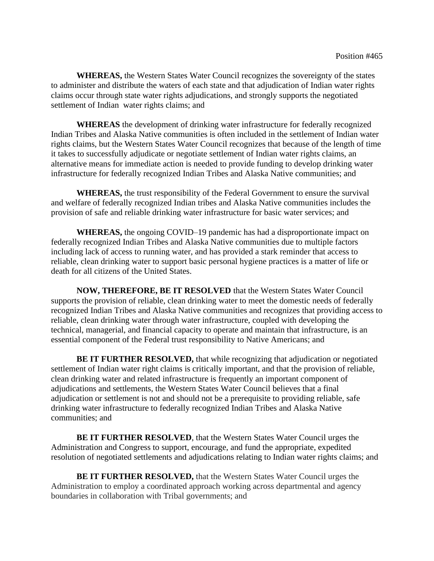**WHEREAS,** the Western States Water Council recognizes the sovereignty of the states to administer and distribute the waters of each state and that adjudication of Indian water rights claims occur through state water rights adjudications, and strongly supports the negotiated settlement of Indian water rights claims; and

**WHEREAS** the development of drinking water infrastructure for federally recognized Indian Tribes and Alaska Native communities is often included in the settlement of Indian water rights claims, but the Western States Water Council recognizes that because of the length of time it takes to successfully adjudicate or negotiate settlement of Indian water rights claims, an alternative means for immediate action is needed to provide funding to develop drinking water infrastructure for federally recognized Indian Tribes and Alaska Native communities; and

**WHEREAS,** the trust responsibility of the Federal Government to ensure the survival and welfare of federally recognized Indian tribes and Alaska Native communities includes the provision of safe and reliable drinking water infrastructure for basic water services; and

**WHEREAS,** the ongoing COVID–19 pandemic has had a disproportionate impact on federally recognized Indian Tribes and Alaska Native communities due to multiple factors including lack of access to running water, and has provided a stark reminder that access to reliable, clean drinking water to support basic personal hygiene practices is a matter of life or death for all citizens of the United States.

**NOW, THEREFORE, BE IT RESOLVED** that the Western States Water Council supports the provision of reliable, clean drinking water to meet the domestic needs of federally recognized Indian Tribes and Alaska Native communities and recognizes that providing access to reliable, clean drinking water through water infrastructure, coupled with developing the technical, managerial, and financial capacity to operate and maintain that infrastructure, is an essential component of the Federal trust responsibility to Native Americans; and

**BE IT FURTHER RESOLVED, that while recognizing that adjudication or negotiated** settlement of Indian water right claims is critically important, and that the provision of reliable, clean drinking water and related infrastructure is frequently an important component of adjudications and settlements, the Western States Water Council believes that a final adjudication or settlement is not and should not be a prerequisite to providing reliable, safe drinking water infrastructure to federally recognized Indian Tribes and Alaska Native communities; and

**BE IT FURTHER RESOLVED**, that the Western States Water Council urges the Administration and Congress to support, encourage, and fund the appropriate, expedited resolution of negotiated settlements and adjudications relating to Indian water rights claims; and

**BE IT FURTHER RESOLVED,** that the Western States Water Council urges the Administration to employ a coordinated approach working across departmental and agency boundaries in collaboration with Tribal governments; and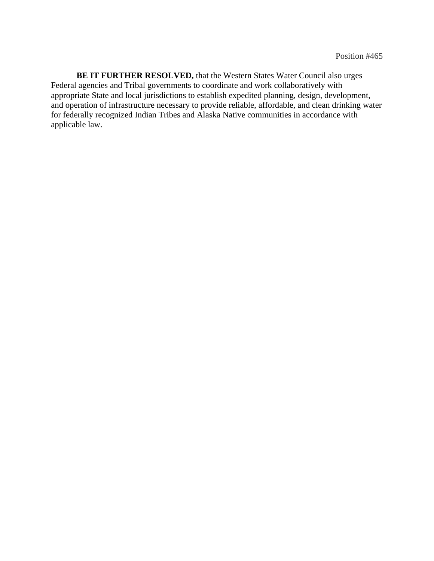**BE IT FURTHER RESOLVED,** that the Western States Water Council also urges Federal agencies and Tribal governments to coordinate and work collaboratively with appropriate State and local jurisdictions to establish expedited planning, design, development, and operation of infrastructure necessary to provide reliable, affordable, and clean drinking water for federally recognized Indian Tribes and Alaska Native communities in accordance with applicable law.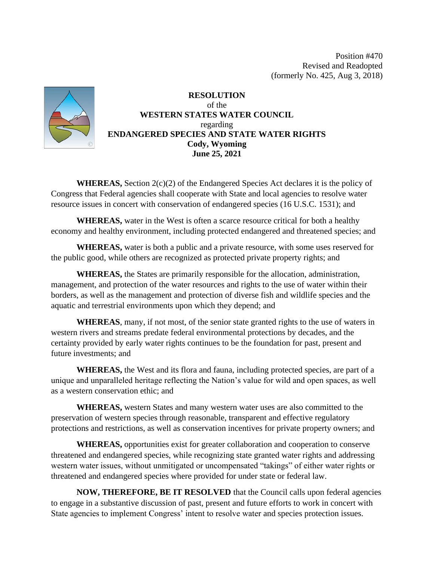Position #470 Revised and Readopted (formerly No. 425, Aug 3, 2018)



**RESOLUTION**  of the **WESTERN STATES WATER COUNCIL**  regarding **ENDANGERED SPECIES AND STATE WATER RIGHTS Cody, Wyoming June 25, 2021**

**WHEREAS,** Section 2(c)(2) of the Endangered Species Act declares it is the policy of Congress that Federal agencies shall cooperate with State and local agencies to resolve water resource issues in concert with conservation of endangered species (16 U.S.C. 1531); and

**WHEREAS,** water in the West is often a scarce resource critical for both a healthy economy and healthy environment, including protected endangered and threatened species; and

**WHEREAS,** water is both a public and a private resource, with some uses reserved for the public good, while others are recognized as protected private property rights; and

**WHEREAS,** the States are primarily responsible for the allocation, administration, management, and protection of the water resources and rights to the use of water within their borders, as well as the management and protection of diverse fish and wildlife species and the aquatic and terrestrial environments upon which they depend; and

**WHEREAS**, many, if not most, of the senior state granted rights to the use of waters in western rivers and streams predate federal environmental protections by decades, and the certainty provided by early water rights continues to be the foundation for past, present and future investments; and

**WHEREAS,** the West and its flora and fauna, including protected species, are part of a unique and unparalleled heritage reflecting the Nation's value for wild and open spaces, as well as a western conservation ethic; and

**WHEREAS,** western States and many western water uses are also committed to the preservation of western species through reasonable, transparent and effective regulatory protections and restrictions, as well as conservation incentives for private property owners; and

**WHEREAS,** opportunities exist for greater collaboration and cooperation to conserve threatened and endangered species, while recognizing state granted water rights and addressing western water issues, without unmitigated or uncompensated "takings" of either water rights or threatened and endangered species where provided for under state or federal law.

**NOW, THEREFORE, BE IT RESOLVED** that the Council calls upon federal agencies to engage in a substantive discussion of past, present and future efforts to work in concert with State agencies to implement Congress' intent to resolve water and species protection issues.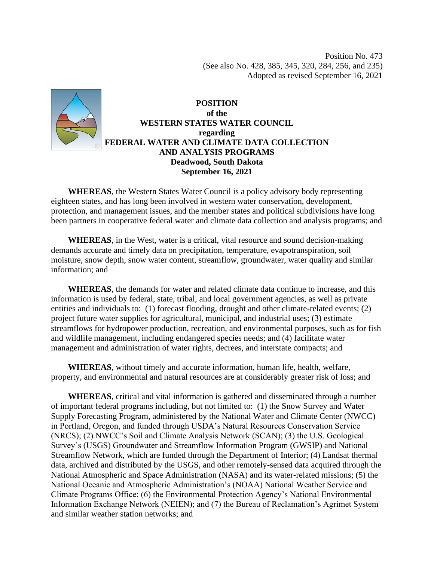Position No. 473 (See also No. 428, 385, 345, 320, 284, 256, and 235) Adopted as revised September 16, 2021



**POSITION of the WESTERN STATES WATER COUNCIL regarding FEDERAL WATER AND CLIMATE DATA COLLECTION AND ANALYSIS PROGRAMS Deadwood, South Dakota September 16, 2021**

 **WHEREAS**, the Western States Water Council is a policy advisory body representing eighteen states, and has long been involved in western water conservation, development, protection, and management issues, and the member states and political subdivisions have long been partners in cooperative federal water and climate data collection and analysis programs; and

 **WHEREAS**, in the West, water is a critical, vital resource and sound decision-making demands accurate and timely data on precipitation, temperature, evapotranspiration, soil moisture, snow depth, snow water content, streamflow, groundwater, water quality and similar information; and

 **WHEREAS**, the demands for water and related climate data continue to increase, and this information is used by federal, state, tribal, and local government agencies, as well as private entities and individuals to: (1) forecast flooding, drought and other climate-related events; (2) project future water supplies for agricultural, municipal, and industrial uses; (3) estimate streamflows for hydropower production, recreation, and environmental purposes, such as for fish and wildlife management, including endangered species needs; and (4) facilitate water management and administration of water rights, decrees, and interstate compacts; and

 **WHEREAS**, without timely and accurate information, human life, health, welfare, property, and environmental and natural resources are at considerably greater risk of loss; and

 **WHEREAS**, critical and vital information is gathered and disseminated through a number of important federal programs including, but not limited to: (1) the Snow Survey and Water Supply Forecasting Program, administered by the National Water and Climate Center (NWCC) in Portland, Oregon, and funded through USDA's Natural Resources Conservation Service (NRCS); (2) NWCC's Soil and Climate Analysis Network (SCAN); (3) the U.S. Geological Survey's (USGS) Groundwater and Streamflow Information Program (GWSIP) and National Streamflow Network, which are funded through the Department of Interior; (4) Landsat thermal data, archived and distributed by the USGS, and other remotely-sensed data acquired through the National Atmospheric and Space Administration (NASA) and its water-related missions; (5) the National Oceanic and Atmospheric Administration's (NOAA) National Weather Service and Climate Programs Office; (6) the Environmental Protection Agency's National Environmental Information Exchange Network (NEIEN); and (7) the Bureau of Reclamation's Agrimet System and similar weather station networks; and